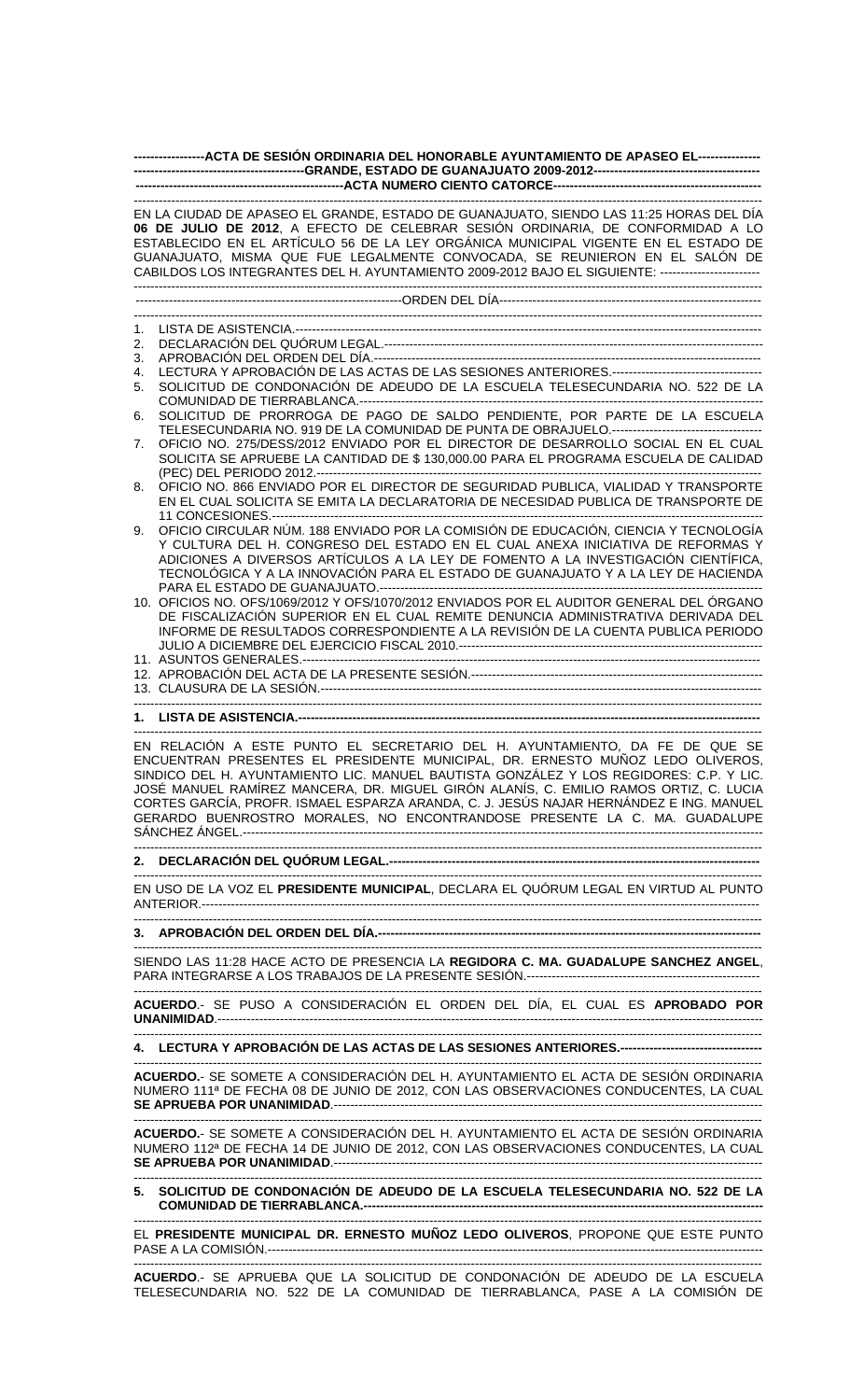| -----------------ACTA DE SESIÓN ORDINARIA DEL HONORABLE AYUNTAMIENTO DE APASEO EL----------------                                                                                                                                                                                                                                                                                                                                                                                                                       |                                                                                                                                                                                                                                                                                                                                                                                                                                                       |  |  |  |
|-------------------------------------------------------------------------------------------------------------------------------------------------------------------------------------------------------------------------------------------------------------------------------------------------------------------------------------------------------------------------------------------------------------------------------------------------------------------------------------------------------------------------|-------------------------------------------------------------------------------------------------------------------------------------------------------------------------------------------------------------------------------------------------------------------------------------------------------------------------------------------------------------------------------------------------------------------------------------------------------|--|--|--|
|                                                                                                                                                                                                                                                                                                                                                                                                                                                                                                                         | EN LA CIUDAD DE APASEO EL GRANDE, ESTADO DE GUANAJUATO, SIENDO LAS 11:25 HORAS DEL DÍA<br>06 DE JULIO DE 2012, A EFECTO DE CELEBRAR SESIÓN ORDINARIA, DE CONFORMIDAD A LO<br>ESTABLECIDO EN EL ARTÍCULO 56 DE LA LEY ORGÁNICA MUNICIPAL VIGENTE EN EL ESTADO DE<br>GUANAJUATO, MISMA QUE FUE LEGALMENTE CONVOCADA, SE REUNIERON EN EL SALÓN DE<br>CABILDOS LOS INTEGRANTES DEL H. AYUNTAMIENTO 2009-2012 BAJO EL SIGUIENTE: ------------------------- |  |  |  |
|                                                                                                                                                                                                                                                                                                                                                                                                                                                                                                                         |                                                                                                                                                                                                                                                                                                                                                                                                                                                       |  |  |  |
| 1.                                                                                                                                                                                                                                                                                                                                                                                                                                                                                                                      |                                                                                                                                                                                                                                                                                                                                                                                                                                                       |  |  |  |
| 2.                                                                                                                                                                                                                                                                                                                                                                                                                                                                                                                      |                                                                                                                                                                                                                                                                                                                                                                                                                                                       |  |  |  |
| 3.<br>4.                                                                                                                                                                                                                                                                                                                                                                                                                                                                                                                |                                                                                                                                                                                                                                                                                                                                                                                                                                                       |  |  |  |
| 5.                                                                                                                                                                                                                                                                                                                                                                                                                                                                                                                      | SOLICITUD DE CONDONACIÓN DE ADEUDO DE LA ESCUELA TELESECUNDARIA NO. 522 DE LA                                                                                                                                                                                                                                                                                                                                                                         |  |  |  |
| 6.                                                                                                                                                                                                                                                                                                                                                                                                                                                                                                                      | SOLICITUD DE PRORROGA DE PAGO DE SALDO PENDIENTE, POR PARTE DE LA ESCUELA                                                                                                                                                                                                                                                                                                                                                                             |  |  |  |
|                                                                                                                                                                                                                                                                                                                                                                                                                                                                                                                         |                                                                                                                                                                                                                                                                                                                                                                                                                                                       |  |  |  |
| 7.                                                                                                                                                                                                                                                                                                                                                                                                                                                                                                                      | OFICIO NO. 275/DESS/2012 ENVIADO POR EL DIRECTOR DE DESARROLLO SOCIAL EN EL CUAL<br>SOLICITA SE APRUEBE LA CANTIDAD DE \$ 130,000.00 PARA EL PROGRAMA ESCUELA DE CALIDAD                                                                                                                                                                                                                                                                              |  |  |  |
| 8.                                                                                                                                                                                                                                                                                                                                                                                                                                                                                                                      | OFICIO NO. 866 ENVIADO POR EL DIRECTOR DE SEGURIDAD PUBLICA, VIALIDAD Y TRANSPORTE<br>EN EL CUAL SOLICITA SE EMITA LA DECLARATORIA DE NECESIDAD PUBLICA DE TRANSPORTE DE                                                                                                                                                                                                                                                                              |  |  |  |
| 9.                                                                                                                                                                                                                                                                                                                                                                                                                                                                                                                      | OFICIO CIRCULAR NÚM. 188 ENVIADO POR LA COMISIÓN DE EDUCACIÓN, CIENCIA Y TECNOLOGÍA<br>Y CULTURA DEL H. CONGRESO DEL ESTADO EN EL CUAL ANEXA INICIATIVA DE REFORMAS Y<br>ADICIONES A DIVERSOS ARTÍCULOS A LA LEY DE FOMENTO A LA INVESTIGACIÓN CIENTÍFICA,<br>TECNOLÓGICA Y A LA INNOVACIÓN PARA EL ESTADO DE GUANAJUATO Y A LA LEY DE HACIENDA                                                                                                       |  |  |  |
|                                                                                                                                                                                                                                                                                                                                                                                                                                                                                                                         | 10. OFICIOS NO. OFS/1069/2012 Y OFS/1070/2012 ENVIADOS POR EL AUDITOR GENERAL DEL ÓRGANO<br>DE FISCALIZACIÓN SUPERIOR EN EL CUAL REMITE DENUNCIA ADMINISTRATIVA DERIVADA DEL<br>INFORME DE RESULTADOS CORRESPONDIENTE A LA REVISIÓN DE LA CUENTA PUBLICA PERIODO                                                                                                                                                                                      |  |  |  |
|                                                                                                                                                                                                                                                                                                                                                                                                                                                                                                                         |                                                                                                                                                                                                                                                                                                                                                                                                                                                       |  |  |  |
|                                                                                                                                                                                                                                                                                                                                                                                                                                                                                                                         |                                                                                                                                                                                                                                                                                                                                                                                                                                                       |  |  |  |
|                                                                                                                                                                                                                                                                                                                                                                                                                                                                                                                         |                                                                                                                                                                                                                                                                                                                                                                                                                                                       |  |  |  |
| EN RELACIÓN A ESTE PUNTO EL SECRETARIO DEL H. AYUNTAMIENTO, DA FE DE QUE SE<br>ENCUENTRAN PRESENTES EL PRESIDENTE MUNICIPAL, DR. ERNESTO MUÑOZ LEDO OLIVEROS,<br>SINDICO DEL H. AYUNTAMIENTO LIC. MANUEL BAUTISTA GONZÁLEZ Y LOS REGIDORES: C.P. Y LIC.<br>JOSÉ MANUEL RAMÍREZ MANCERA, DR. MIGUEL GIRÓN ALANÍS, C. EMILIO RAMOS ORTIZ, C. LUCIA<br>CORTES GARCÍA, PROFR. ISMAEL ESPARZA ARANDA, C. J. JESÚS NAJAR HERNÁNDEZ E ING. MANUEL<br>GERARDO BUENROSTRO MORALES, NO ENCONTRANDOSE PRESENTE LA C. MA. GUADALUPE |                                                                                                                                                                                                                                                                                                                                                                                                                                                       |  |  |  |
|                                                                                                                                                                                                                                                                                                                                                                                                                                                                                                                         |                                                                                                                                                                                                                                                                                                                                                                                                                                                       |  |  |  |
|                                                                                                                                                                                                                                                                                                                                                                                                                                                                                                                         | EN USO DE LA VOZ EL PRESIDENTE MUNICIPAL, DECLARA EL QUÓRUM LEGAL EN VIRTUD AL PUNTO                                                                                                                                                                                                                                                                                                                                                                  |  |  |  |
|                                                                                                                                                                                                                                                                                                                                                                                                                                                                                                                         |                                                                                                                                                                                                                                                                                                                                                                                                                                                       |  |  |  |
|                                                                                                                                                                                                                                                                                                                                                                                                                                                                                                                         | SIENDO LAS 11:28 HACE ACTO DE PRESENCIA LA REGIDORA C. MA. GUADALUPE SANCHEZ ANGEL,                                                                                                                                                                                                                                                                                                                                                                   |  |  |  |
|                                                                                                                                                                                                                                                                                                                                                                                                                                                                                                                         | ACUERDO.- SE PUSO A CONSIDERACIÓN EL ORDEN DEL DÍA, EL CUAL ES APROBADO POR                                                                                                                                                                                                                                                                                                                                                                           |  |  |  |
|                                                                                                                                                                                                                                                                                                                                                                                                                                                                                                                         | 4. LECTURA Y APROBACIÓN DE LAS ACTAS DE LAS SESIONES ANTERIORES.-----------------------------------                                                                                                                                                                                                                                                                                                                                                   |  |  |  |
|                                                                                                                                                                                                                                                                                                                                                                                                                                                                                                                         |                                                                                                                                                                                                                                                                                                                                                                                                                                                       |  |  |  |
| ACUERDO.- SE SOMETE A CONSIDERACIÓN DEL H. AYUNTAMIENTO EL ACTA DE SESIÓN ORDINARIA<br>NUMERO 111ª DE FECHA 08 DE JUNIO DE 2012, CON LAS OBSERVACIONES CONDUCENTES, LA CUAL                                                                                                                                                                                                                                                                                                                                             |                                                                                                                                                                                                                                                                                                                                                                                                                                                       |  |  |  |
|                                                                                                                                                                                                                                                                                                                                                                                                                                                                                                                         | ACUERDO.- SE SOMETE A CONSIDERACIÓN DEL H. AYUNTAMIENTO EL ACTA DE SESIÓN ORDINARIA<br>NUMERO 112ª DE FECHA 14 DE JUNIO DE 2012, CON LAS OBSERVACIONES CONDUCENTES, LA CUAL                                                                                                                                                                                                                                                                           |  |  |  |
| 5. SOLICITUD DE CONDONACIÓN DE ADEUDO DE LA ESCUELA TELESECUNDARIA NO. 522 DE LA                                                                                                                                                                                                                                                                                                                                                                                                                                        |                                                                                                                                                                                                                                                                                                                                                                                                                                                       |  |  |  |
|                                                                                                                                                                                                                                                                                                                                                                                                                                                                                                                         | EL PRESIDENTE MUNICIPAL DR. ERNESTO MUÑOZ LEDO OLIVEROS, PROPONE QUE ESTE PUNTO                                                                                                                                                                                                                                                                                                                                                                       |  |  |  |

PASE A LA COMISIÓN.----------------------------------------------------------------------------------------------------------------------- -------------------------------------------------------------------------------------------------------------------------------------------------------

**ACUERDO**.- SE APRUEBA QUE LA SOLICITUD DE CONDONACIÓN DE ADEUDO DE LA ESCUELA TELESECUNDARIA NO. 522 DE LA COMUNIDAD DE TIERRABLANCA, PASE A LA COMISIÓN DE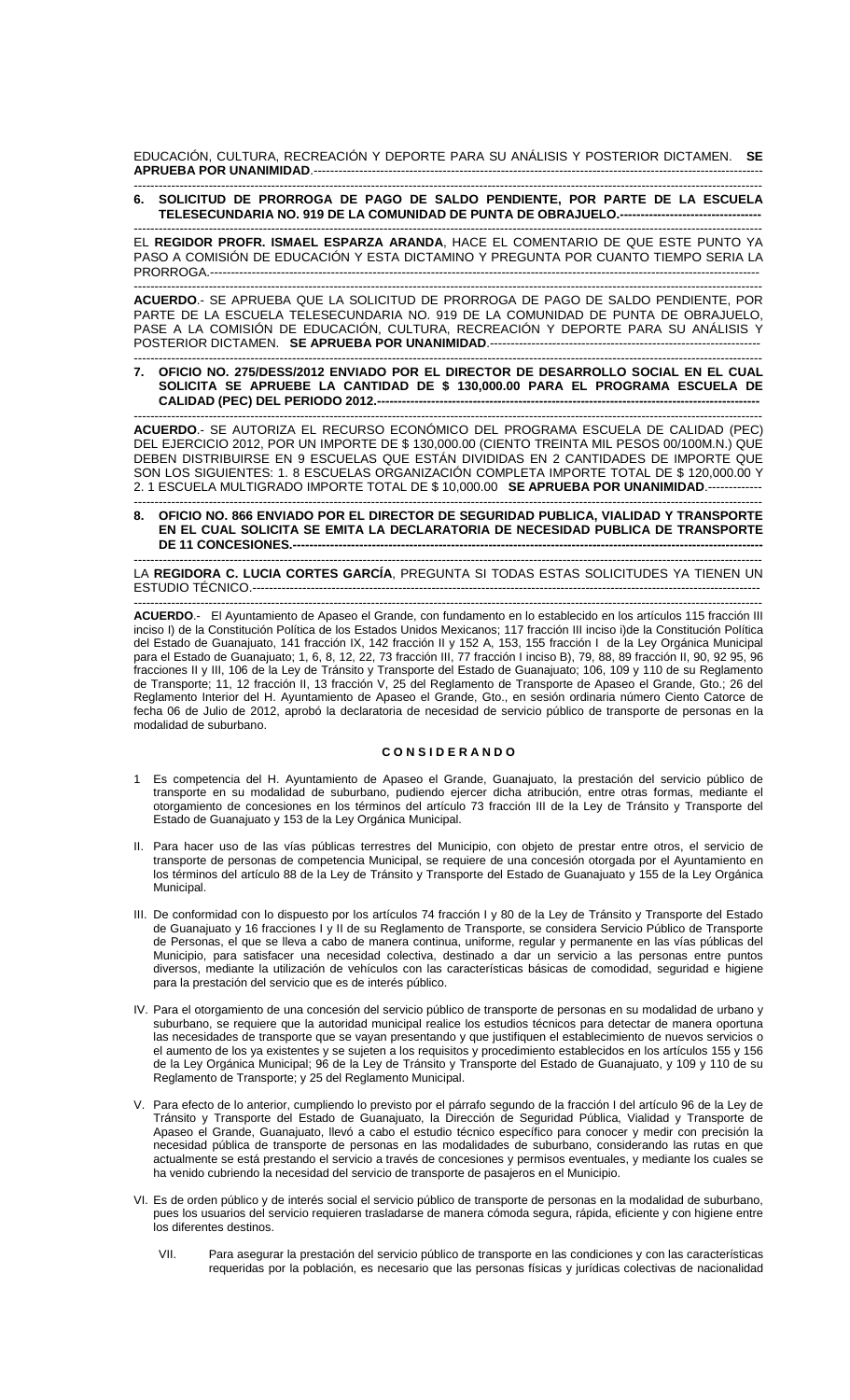EDUCACIÓN, CULTURA, RECREACIÓN Y DEPORTE PARA SU ANÁLISIS Y POSTERIOR DICTAMEN. **SE APRUEBA POR UNANIMIDAD**.------------------------------------------------------------------------------------------------------------

## ------------------------------------------------------------------------------------------------------------------------------------------------------- **6. SOLICITUD DE PRORROGA DE PAGO DE SALDO PENDIENTE, POR PARTE DE LA ESCUELA TELESECUNDARIA NO. 919 DE LA COMUNIDAD DE PUNTA DE OBRAJUELO.----**

------------------------------------------------------------------------------------------------------------------------------------------------------- EL **REGIDOR PROFR. ISMAEL ESPARZA ARANDA**, HACE EL COMENTARIO DE QUE ESTE PUNTO YA PASO A COMISIÓN DE EDUCACIÓN Y ESTA DICTAMINO Y PREGUNTA POR CUANTO TIEMPO SERIA LA PRORROGA.----------------

------------------------------------------------------------------------------------------------------------------------------------------------------- **ACUERDO**.- SE APRUEBA QUE LA SOLICITUD DE PRORROGA DE PAGO DE SALDO PENDIENTE, POR PARTE DE LA ESCUELA TELESECUNDARIA NO. 919 DE LA COMUNIDAD DE PUNTA DE OBRAJUELO, PASE A LA COMISIÓN DE EDUCACIÓN, CULTURA, RECREACIÓN Y DEPORTE PARA SU ANÁLISIS Y POSTERIOR DICTAMEN. **SE APRUEBA POR UNANIMIDAD**.-----------------------------------------------------------------

------------------------------------------------------------------------------------------------------------------------------------------------------- **7. OFICIO NO. 275/DESS/2012 ENVIADO POR EL DIRECTOR DE DESARROLLO SOCIAL EN EL CUAL SOLICITA SE APRUEBE LA CANTIDAD DE \$ 130,000.00 PARA EL PROGRAMA ESCUELA DE CALIDAD (PEC) DEL PERIODO 2012.---**

------------------------------------------------------------------------------------------------------------------------------------------------------- **ACUERDO**.- SE AUTORIZA EL RECURSO ECONÓMICO DEL PROGRAMA ESCUELA DE CALIDAD (PEC) DEL EJERCICIO 2012, POR UN IMPORTE DE \$ 130,000.00 (CIENTO TREINTA MIL PESOS 00/100M.N.) QUE DEBEN DISTRIBUIRSE EN 9 ESCUELAS QUE ESTÁN DIVIDIDAS EN 2 CANTIDADES DE IMPORTE QUE SON LOS SIGUIENTES: 1. 8 ESCUELAS ORGANIZACIÓN COMPLETA IMPORTE TOTAL DE \$ 120,000.00 Y 2. 1 ESCUELA MULTIGRADO IMPORTE TOTAL DE \$ 10,000.00 **SE APRUEBA POR UNANIMIDAD**.-------------

------------------------------------------------------------------------------------------------------------------------------------------------------- **8. OFICIO NO. 866 ENVIADO POR EL DIRECTOR DE SEGURIDAD PUBLICA, VIALIDAD Y TRANSPORTE EN EL CUAL SOLICITA SE EMITA LA DECLARATORIA DE NECESIDAD PUBLICA DE TRANSPORTE DE 11 CONCESIONES.---**

------------------------------------------------------------------------------------------------------------------------------------------------------- LA **REGIDORA C. LUCIA CORTES GARCÍA**, PREGUNTA SI TODAS ESTAS SOLICITUDES YA TIENEN UN ESTUDIO TÉCNICO.-----

------------------------------------------------------------------------------------------------------------------------------------------------------- **ACUERDO**.- El Ayuntamiento de Apaseo el Grande, con fundamento en lo establecido en los artículos 115 fracción III inciso I) de la Constitución Política de los Estados Unidos Mexicanos; 117 fracción III inciso i)de la Constitución Política del Estado de Guanajuato, 141 fracción IX, 142 fracción II y 152 A, 153, 155 fracción I de la Ley Orgánica Municipal para el Estado de Guanajuato; 1, 6, 8, 12, 22, 73 fracción III, 77 fracción I inciso B), 79, 88, 89 fracción II, 90, 92 95, 96 fracciones II y III, 106 de la Ley de Tránsito y Transporte del Estado de Guanajuato; 106, 109 y 110 de su Reglamento de Transporte; 11, 12 fracción II, 13 fracción V, 25 del Reglamento de Transporte de Apaseo el Grande, Gto.; 26 del Reglamento Interior del H. Ayuntamiento de Apaseo el Grande, Gto., en sesión ordinaria número Ciento Catorce de fecha 06 de Julio de 2012, aprobó la declaratoria de necesidad de servicio público de transporte de personas en la modalidad de suburbano.

# **C O N S I D E R A N D O**

- 1 Es competencia del H. Ayuntamiento de Apaseo el Grande, Guanajuato, la prestación del servicio público de transporte en su modalidad de suburbano, pudiendo ejercer dicha atribución, entre otras formas, mediante el otorgamiento de concesiones en los términos del artículo 73 fracción III de la Ley de Tránsito y Transporte del Estado de Guanajuato y 153 de la Ley Orgánica Municipal.
- II. Para hacer uso de las vías públicas terrestres del Municipio, con objeto de prestar entre otros, el servicio de transporte de personas de competencia Municipal, se requiere de una concesión otorgada por el Ayuntamiento en los términos del artículo 88 de la Ley de Tránsito y Transporte del Estado de Guanajuato y 155 de la Ley Orgánica Municipal.
- III. De conformidad con lo dispuesto por los artículos 74 fracción I y 80 de la Ley de Tránsito y Transporte del Estado de Guanajuato y 16 fracciones I y II de su Reglamento de Transporte, se considera Servicio Público de Transporte de Personas, el que se lleva a cabo de manera continua, uniforme, regular y permanente en las vías públicas del Municipio, para satisfacer una necesidad colectiva, destinado a dar un servicio a las personas entre puntos diversos, mediante la utilización de vehículos con las características básicas de comodidad, seguridad e higiene para la prestación del servicio que es de interés público.
- IV. Para el otorgamiento de una concesión del servicio público de transporte de personas en su modalidad de urbano y suburbano, se requiere que la autoridad municipal realice los estudios técnicos para detectar de manera oportuna las necesidades de transporte que se vayan presentando y que justifiquen el establecimiento de nuevos servicios o el aumento de los ya existentes y se sujeten a los requisitos y procedimiento establecidos en los artículos 155 y 156 de la Ley Orgánica Municipal; 96 de la Ley de Tránsito y Transporte del Estado de Guanajuato, y 109 y 110 de su Reglamento de Transporte; y 25 del Reglamento Municipal.
- V. Para efecto de lo anterior, cumpliendo lo previsto por el párrafo segundo de la fracción I del artículo 96 de la Ley de Tránsito y Transporte del Estado de Guanajuato, la Dirección de Seguridad Pública, Vialidad y Transporte de Apaseo el Grande, Guanajuato, llevó a cabo el estudio técnico específico para conocer y medir con precisión la necesidad pública de transporte de personas en las modalidades de suburbano, considerando las rutas en que actualmente se está prestando el servicio a través de concesiones y permisos eventuales, y mediante los cuales se ha venido cubriendo la necesidad del servicio de transporte de pasajeros en el Municipio.
- VI. Es de orden público y de interés social el servicio público de transporte de personas en la modalidad de suburbano, pues los usuarios del servicio requieren trasladarse de manera cómoda segura, rápida, eficiente y con higiene entre los diferentes destinos.
	- VII. Para asegurar la prestación del servicio público de transporte en las condiciones y con las características requeridas por la población, es necesario que las personas físicas y jurídicas colectivas de nacionalidad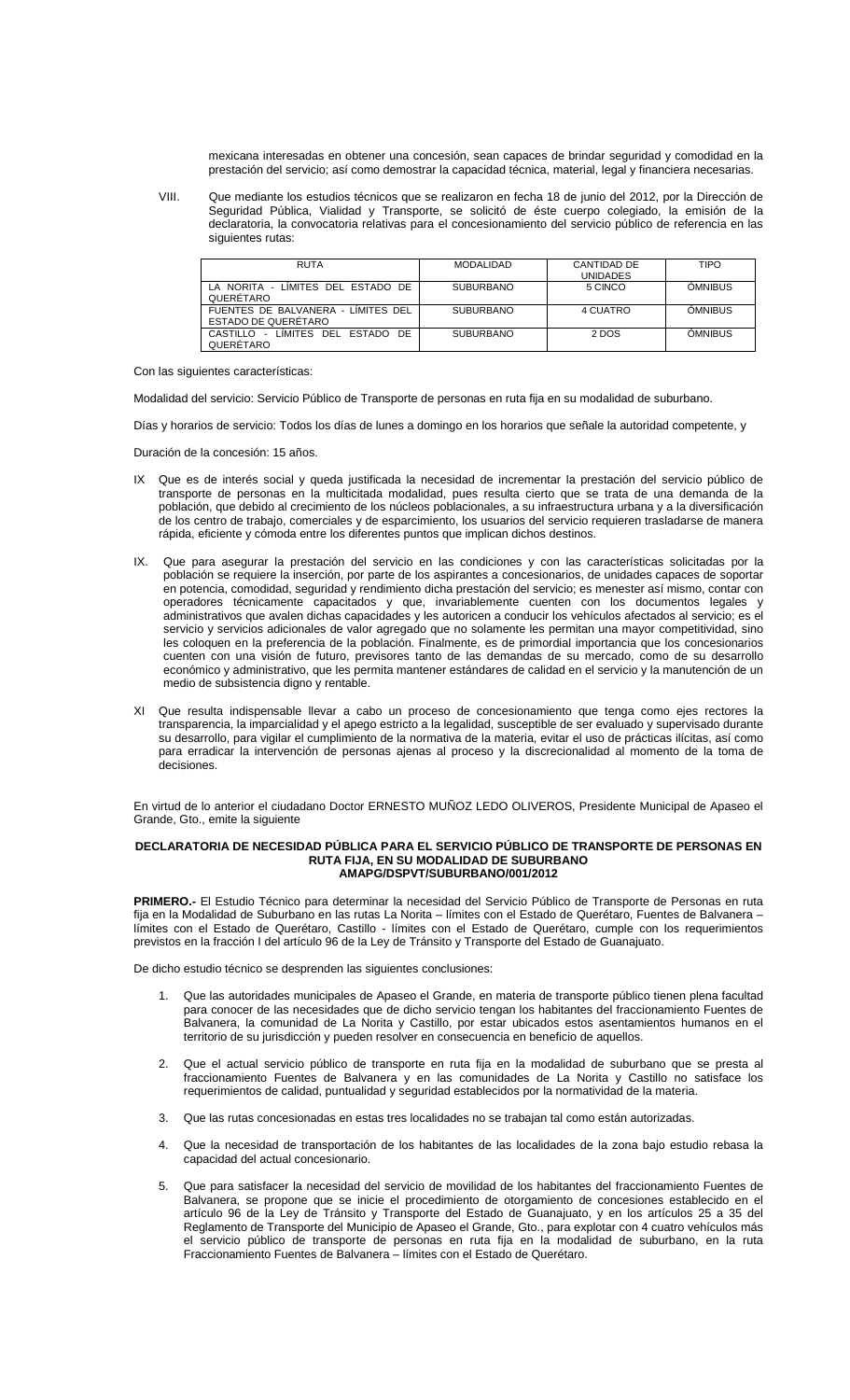mexicana interesadas en obtener una concesión, sean capaces de brindar seguridad y comodidad en la prestación del servicio; así como demostrar la capacidad técnica, material, legal y financiera necesarias.

VIII. Que mediante los estudios técnicos que se realizaron en fecha 18 de junio del 2012, por la Dirección de Seguridad Pública, Vialidad y Transporte, se solicitó de éste cuerpo colegiado, la emisión de la declaratoria, la convocatoria relativas para el concesionamiento del servicio público de referencia en las siguientes rutas:

| <b>RUTA</b>                                                  | <b>MODALIDAD</b> | CANTIDAD DE<br><b>UNIDADES</b> | <b>TIPO</b>    |
|--------------------------------------------------------------|------------------|--------------------------------|----------------|
| LA NORITA - LIMITES DEL ESTADO DE<br>QUERETARO               | <b>SUBURBANO</b> | 5 CINCO                        | <b>OMNIBUS</b> |
| FUENTES DE BALVANERA - LIMITES DEL<br>ESTADO DE QUERÉTARO    | <b>SUBURBANO</b> | 4 CUATRO                       | <b>OMNIBUS</b> |
| DE.<br>LIMITES DEL ESTADO<br>CASTILLO<br>$\sim$<br>QUERETARO | <b>SUBURBANO</b> | 2 DOS                          | <b>OMNIBUS</b> |

## Con las siguientes características:

Modalidad del servicio: Servicio Público de Transporte de personas en ruta fija en su modalidad de suburbano.

Días y horarios de servicio: Todos los días de lunes a domingo en los horarios que señale la autoridad competente, y

Duración de la concesión: 15 años.

- IX Que es de interés social y queda justificada la necesidad de incrementar la prestación del servicio público de transporte de personas en la multicitada modalidad, pues resulta cierto que se trata de una demanda de la población, que debido al crecimiento de los núcleos poblacionales, a su infraestructura urbana y a la diversificación de los centro de trabajo, comerciales y de esparcimiento, los usuarios del servicio requieren trasladarse de manera rápida, eficiente y cómoda entre los diferentes puntos que implican dichos destinos.
- IX. Que para asegurar la prestación del servicio en las condiciones y con las características solicitadas por la población se requiere la inserción, por parte de los aspirantes a concesionarios, de unidades capaces de soportar en potencia, comodidad, seguridad y rendimiento dicha prestación del servicio; es menester así mismo, contar con operadores técnicamente capacitados y que, invariablemente cuenten con los documentos legales y administrativos que avalen dichas capacidades y les autoricen a conducir los vehículos afectados al servicio; es el servicio y servicios adicionales de valor agregado que no solamente les permitan una mayor competitividad, sino les coloquen en la preferencia de la población. Finalmente, es de primordial importancia que los concesionarios cuenten con una visión de futuro, previsores tanto de las demandas de su mercado, como de su desarrollo económico y administrativo, que les permita mantener estándares de calidad en el servicio y la manutención de un medio de subsistencia digno y rentable.
- XI Que resulta indispensable llevar a cabo un proceso de concesionamiento que tenga como ejes rectores la transparencia, la imparcialidad y el apego estricto a la legalidad, susceptible de ser evaluado y supervisado durante su desarrollo, para vigilar el cumplimiento de la normativa de la materia, evitar el uso de prácticas ilícitas, así como para erradicar la intervención de personas ajenas al proceso y la discrecionalidad al momento de la toma de decisiones.

En virtud de lo anterior el ciudadano Doctor ERNESTO MUÑOZ LEDO OLIVEROS, Presidente Municipal de Apaseo el Grande, Gto., emite la siguiente

## **DECLARATORIA DE NECESIDAD PÚBLICA PARA EL SERVICIO PÚBLICO DE TRANSPORTE DE PERSONAS EN RUTA FIJA, EN SU MODALIDAD DE SUBURBANO AMAPG/DSPVT/SUBURBANO/001/2012**

**PRIMERO.-** El Estudio Técnico para determinar la necesidad del Servicio Público de Transporte de Personas en ruta fija en la Modalidad de Suburbano en las rutas La Norita – límites con el Estado de Querétaro, Fuentes de Balvanera – límites con el Estado de Querétaro, Castillo - límites con el Estado de Querétaro, cumple con los requerimientos previstos en la fracción I del artículo 96 de la Ley de Tránsito y Transporte del Estado de Guanajuato.

De dicho estudio técnico se desprenden las siguientes conclusiones:

- 1. Que las autoridades municipales de Apaseo el Grande, en materia de transporte público tienen plena facultad para conocer de las necesidades que de dicho servicio tengan los habitantes del fraccionamiento Fuentes de Balvanera, la comunidad de La Norita y Castillo, por estar ubicados estos asentamientos humanos en el territorio de su jurisdicción y pueden resolver en consecuencia en beneficio de aquellos.
- 2. Que el actual servicio público de transporte en ruta fija en la modalidad de suburbano que se presta al fraccionamiento Fuentes de Balvanera y en las comunidades de La Norita y Castillo no satisface los requerimientos de calidad, puntualidad y seguridad establecidos por la normatividad de la materia.
- 3. Que las rutas concesionadas en estas tres localidades no se trabajan tal como están autorizadas.
- 4. Que la necesidad de transportación de los habitantes de las localidades de la zona bajo estudio rebasa la capacidad del actual concesionario.
- 5. Que para satisfacer la necesidad del servicio de movilidad de los habitantes del fraccionamiento Fuentes de Balvanera, se propone que se inicie el procedimiento de otorgamiento de concesiones establecido en el artículo 96 de la Ley de Tránsito y Transporte del Estado de Guanajuato, y en los artículos 25 a 35 del Reglamento de Transporte del Municipio de Apaseo el Grande, Gto., para explotar con 4 cuatro vehículos más el servicio público de transporte de personas en ruta fija en la modalidad de suburbano, en la ruta Fraccionamiento Fuentes de Balvanera – límites con el Estado de Querétaro.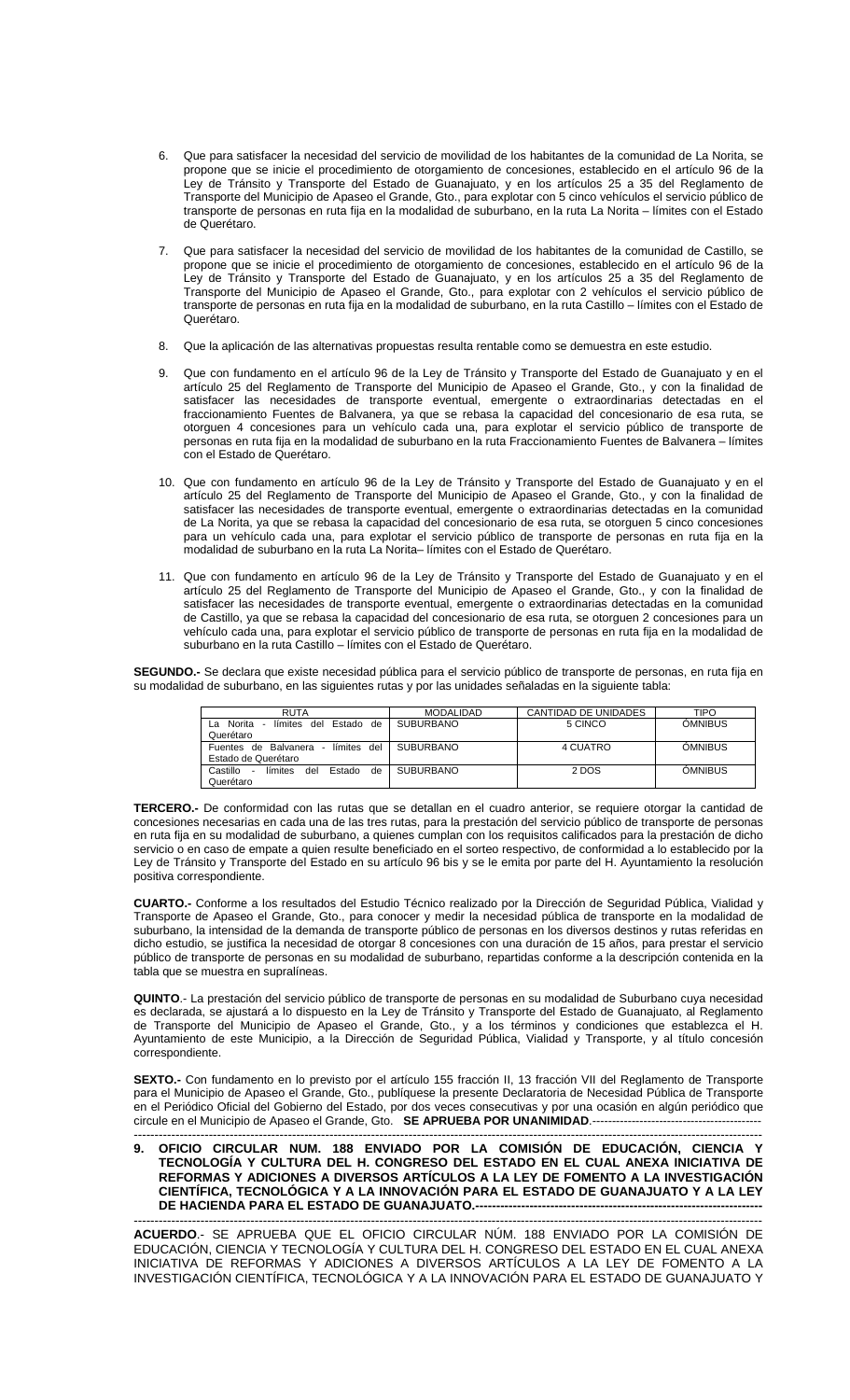- 6. Que para satisfacer la necesidad del servicio de movilidad de los habitantes de la comunidad de La Norita, se propone que se inicie el procedimiento de otorgamiento de concesiones, establecido en el artículo 96 de la Ley de Tránsito y Transporte del Estado de Guanajuato, y en los artículos 25 a 35 del Reglamento de Transporte del Municipio de Apaseo el Grande, Gto., para explotar con 5 cinco vehículos el servicio público de transporte de personas en ruta fija en la modalidad de suburbano, en la ruta La Norita – límites con el Estado de Querétaro.
- 7. Que para satisfacer la necesidad del servicio de movilidad de los habitantes de la comunidad de Castillo, se propone que se inicie el procedimiento de otorgamiento de concesiones, establecido en el artículo 96 de la Ley de Tránsito y Transporte del Estado de Guanajuato, y en los artículos 25 a 35 del Reglamento de Transporte del Municipio de Apaseo el Grande, Gto., para explotar con 2 vehículos el servicio público de transporte de personas en ruta fija en la modalidad de suburbano, en la ruta Castillo – límites con el Estado de Querétaro.
- 8. Que la aplicación de las alternativas propuestas resulta rentable como se demuestra en este estudio.
- 9. Que con fundamento en el artículo 96 de la Ley de Tránsito y Transporte del Estado de Guanajuato y en el artículo 25 del Reglamento de Transporte del Municipio de Apaseo el Grande, Gto., y con la finalidad de satisfacer las necesidades de transporte eventual, emergente o extraordinarias detectadas en el fraccionamiento Fuentes de Balvanera, ya que se rebasa la capacidad del concesionario de esa ruta, se otorguen 4 concesiones para un vehículo cada una, para explotar el servicio público de transporte de personas en ruta fija en la modalidad de suburbano en la ruta Fraccionamiento Fuentes de Balvanera – límites con el Estado de Querétaro.
- 10. Que con fundamento en artículo 96 de la Ley de Tránsito y Transporte del Estado de Guanajuato y en el artículo 25 del Reglamento de Transporte del Municipio de Apaseo el Grande, Gto., y con la finalidad de satisfacer las necesidades de transporte eventual, emergente o extraordinarias detectadas en la comunidad de La Norita, ya que se rebasa la capacidad del concesionario de esa ruta, se otorguen 5 cinco concesiones para un vehículo cada una, para explotar el servicio público de transporte de personas en ruta fija en la modalidad de suburbano en la ruta La Norita– límites con el Estado de Querétaro.
- 11. Que con fundamento en artículo 96 de la Ley de Tránsito y Transporte del Estado de Guanajuato y en el artículo 25 del Reglamento de Transporte del Municipio de Apaseo el Grande, Gto., y con la finalidad de satisfacer las necesidades de transporte eventual, emergente o extraordinarias detectadas en la comunidad de Castillo, ya que se rebasa la capacidad del concesionario de esa ruta, se otorguen 2 concesiones para un vehículo cada una, para explotar el servicio público de transporte de personas en ruta fija en la modalidad de suburbano en la ruta Castillo – límites con el Estado de Querétaro.

**SEGUNDO.-** Se declara que existe necesidad pública para el servicio público de transporte de personas, en ruta fija en su modalidad de suburbano, en las siguientes rutas y por las unidades señaladas en la siguiente tabla:

| <b>RUTA</b>                                                 | <b>MODALIDAD</b> | CANTIDAD DE UNIDADES | TIPO           |
|-------------------------------------------------------------|------------------|----------------------|----------------|
| Estado de<br>Norita<br>del<br>límites<br>La                 | <b>SUBURBANO</b> | 5 CINCO              | <b>OMNIBUS</b> |
| Querétaro                                                   |                  |                      |                |
| del<br>Fuentes de Balvanera - límites                       | <b>SUBURBANO</b> | 4 CUATRO             | <b>OMNIBUS</b> |
| Estado de Querétaro                                         |                  |                      |                |
| límites<br>Castillo<br><b>Estado</b><br>del<br>de<br>$\sim$ | <b>SUBURBANO</b> | 2 DOS                | ÓMNIBUS        |
| Querétaro                                                   |                  |                      |                |

**TERCERO.-** De conformidad con las rutas que se detallan en el cuadro anterior, se requiere otorgar la cantidad de concesiones necesarias en cada una de las tres rutas, para la prestación del servicio público de transporte de personas en ruta fija en su modalidad de suburbano, a quienes cumplan con los requisitos calificados para la prestación de dicho servicio o en caso de empate a quien resulte beneficiado en el sorteo respectivo, de conformidad a lo establecido por la Ley de Tránsito y Transporte del Estado en su artículo 96 bis y se le emita por parte del H. Ayuntamiento la resolución positiva correspondiente.

**CUARTO.-** Conforme a los resultados del Estudio Técnico realizado por la Dirección de Seguridad Pública, Vialidad y Transporte de Apaseo el Grande, Gto., para conocer y medir la necesidad pública de transporte en la modalidad de suburbano, la intensidad de la demanda de transporte público de personas en los diversos destinos y rutas referidas en dicho estudio, se justifica la necesidad de otorgar 8 concesiones con una duración de 15 años, para prestar el servicio público de transporte de personas en su modalidad de suburbano, repartidas conforme a la descripción contenida en la tabla que se muestra en supralíneas.

**QUINTO**.- La prestación del servicio público de transporte de personas en su modalidad de Suburbano cuya necesidad es declarada, se ajustará a lo dispuesto en la Ley de Tránsito y Transporte del Estado de Guanajuato, al Reglamento de Transporte del Municipio de Apaseo el Grande, Gto., y a los términos y condiciones que establezca el H. Ayuntamiento de este Municipio, a la Dirección de Seguridad Pública, Vialidad y Transporte, y al título concesión correspondiente.

**SEXTO.-** Con fundamento en lo previsto por el artículo 155 fracción II, 13 fracción VII del Reglamento de Transporte para el Municipio de Apaseo el Grande, Gto., publíquese la presente Declaratoria de Necesidad Pública de Transporte en el Periódico Oficial del Gobierno del Estado, por dos veces consecutivas y por una ocasión en algún periódico que circule en el Municipio de Apaseo el Grande, Gto. **SE APRUEBA POR UNANIMIDAD**.-------------------------------------------

------------------------------------------------------------------------------------------------------------------------------------------------------- **9. OFICIO CIRCULAR NUM. 188 ENVIADO POR LA COMISIÓN DE EDUCACIÓN, CIENCIA Y TECNOLOGÍA Y CULTURA DEL H. CONGRESO DEL ESTADO EN EL CUAL ANEXA INICIATIVA DE REFORMAS Y ADICIONES A DIVERSOS ARTÍCULOS A LA LEY DE FOMENTO A LA INVESTIGACIÓN CIENTÍFICA, TECNOLÓGICA Y A LA INNOVACIÓN PARA EL ESTADO DE GUANAJUATO Y A LA LEY DE HACIENDA PARA EL ESTADO DE GUANAJUATO.--**

------------------------------------------------------------------------------------------------------------------------------------------------------- **ACUERDO**.- SE APRUEBA QUE EL OFICIO CIRCULAR NÚM. 188 ENVIADO POR LA COMISIÓN DE EDUCACIÓN, CIENCIA Y TECNOLOGÍA Y CULTURA DEL H. CONGRESO DEL ESTADO EN EL CUAL ANEXA INICIATIVA DE REFORMAS Y ADICIONES A DIVERSOS ARTÍCULOS A LA LEY DE FOMENTO A LA INVESTIGACIÓN CIENTÍFICA, TECNOLÓGICA Y A LA INNOVACIÓN PARA EL ESTADO DE GUANAJUATO Y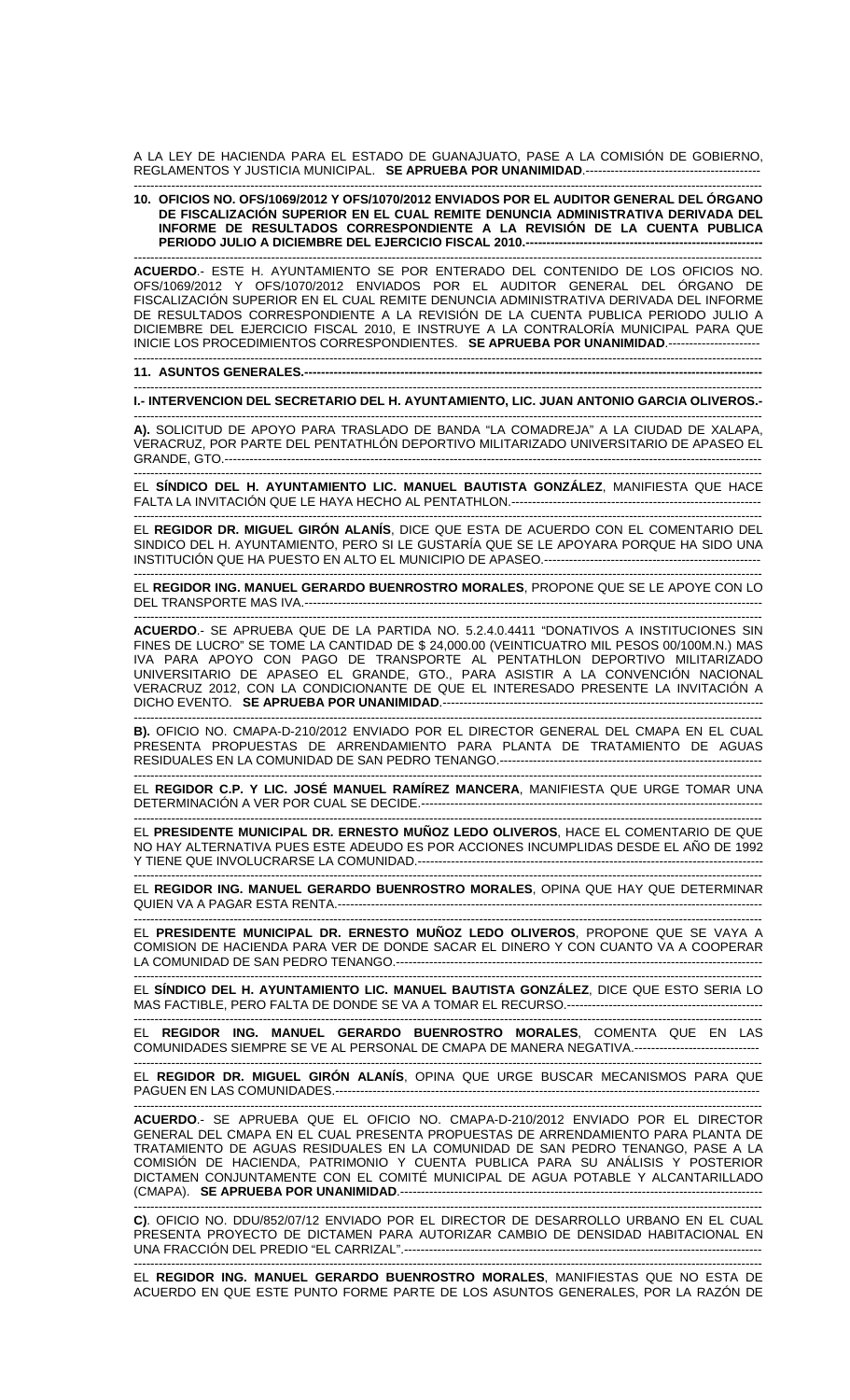A LA LEY DE HACIENDA PARA EL ESTADO DE GUANAJUATO, PASE A LA COMISIÓN DE GOBIERNO, REGLAMENTOS Y JUSTICIA MUNICIPAL. **SE APRUEBA POR UNANIMIDAD**.------------------------------------------

#### ------------------------------------------------------------------------------------------------------------------------------------------------------- **10. OFICIOS NO. OFS/1069/2012 Y OFS/1070/2012 ENVIADOS POR EL AUDITOR GENERAL DEL ÓRGANO DE FISCALIZACIÓN SUPERIOR EN EL CUAL REMITE DENUNCIA ADMINISTRATIVA DERIVADA DEL INFORME DE RESULTADOS CORRESPONDIENTE A LA REVISIÓN DE LA CUENTA PUBLICA**  PERIODO JULIO A DICIEMBRE DEL EJERCICIO FISCAL 2010.-------

------------------------------------------------------------------------------------------------------------------------------------------------------- **ACUERDO**.- ESTE H. AYUNTAMIENTO SE POR ENTERADO DEL CONTENIDO DE LOS OFICIOS NO. OFS/1069/2012 Y OFS/1070/2012 ENVIADOS POR EL AUDITOR GENERAL DEL ÓRGANO DE FISCALIZACIÓN SUPERIOR EN EL CUAL REMITE DENUNCIA ADMINISTRATIVA DERIVADA DEL INFORME DE RESULTADOS CORRESPONDIENTE A LA REVISION DE LA CUENTA PUBLICA PERIODO JULIO A DICIEMBRE DEL EJERCICIO FISCAL 2010, E INSTRUYE A LA CONTRALORÍA MUNICIPAL PARA QUE INICIE LOS PROCEDIMIENTOS CORRESPONDIENTES. **SE APRUEBA POR UNANIMIDAD**.---------------------- -------------------------------------------------------------------------------------------------------------------------------------------------------

**11. ASUNTOS GENERALES.---**

------------------------------------------------------------------------------------------------------------------------------------------------------- **I.- INTERVENCION DEL SECRETARIO DEL H. AYUNTAMIENTO, LIC. JUAN ANTONIO GARCIA OLIVEROS.-** 

------------------------------------------------------------------------------------------------------------------------------------------------------- **A).** SOLICITUD DE APOYO PARA TRASLADO DE BANDA "LA COMADREJA" A LA CIUDAD DE XALAPA, VERACRUZ, POR PARTE DEL PENTATHLÓN DEPORTIVO MILITARIZADO UNIVERSITARIO DE APASEO EL GRANDE, GTO.---------------------------------------------------------------------------------------------------------------------------------

------------------------------------------------------------------------------------------------------------------------------------------------------- EL **SÍNDICO DEL H. AYUNTAMIENTO LIC. MANUEL BAUTISTA GONZÁLEZ**, MANIFIESTA QUE HACE FALTA LA INVITACIÓN QUE LE HAYA HECHO AL PENTATHLON.------------------------------------------------------------

------------------------------------------------------------------------------------------------------------------------------------------------------- EL **REGIDOR DR. MIGUEL GIRÓN ALANÍS**, DICE QUE ESTA DE ACUERDO CON EL COMENTARIO DEL SINDICO DEL H. AYUNTAMIENTO, PERO SI LE GUSTARÍA QUE SE LE APOYARA PORQUE HA SIDO UNA INSTITUCIÓN QUE HA PUESTO EN ALTO EL MUNICIPIO DE APASEO.----------------------------------------------------

------------------------------------------------------------------------------------------------------------------------------------------------------- EL **REGIDOR ING. MANUEL GERARDO BUENROSTRO MORALES**, PROPONE QUE SE LE APOYE CON LO DEL TRANSPORTE MAS IVA.--------------------------------------------------------------------------------------------------------------

------------------------------------------------------------------------------------------------------------------------------------------------------- **ACUERDO**.- SE APRUEBA QUE DE LA PARTIDA NO. 5.2.4.0.4411 "DONATIVOS A INSTITUCIONES SIN FINES DE LUCRO" SE TOME LA CANTIDAD DE \$ 24,000.00 (VEINTICUATRO MIL PESOS 00/100M.N.) MAS IVA PARA APOYO CON PAGO DE TRANSPORTE AL PENTATHLON DEPORTIVO MILITARIZADO UNIVERSITARIO DE APASEO EL GRANDE, GTO., PARA ASISTIR A LA CONVENCIÓN NACIONAL VERACRUZ 2012, CON LA CONDICIONANTE DE QUE EL INTERESADO PRESENTE LA INVITACIÓN A DICHO EVENTO. **SE APRUEBA POR UNANIMIDAD**.-----------------------------------------------------------------------------

------------------------------------------------------------------------------------------------------------------------------------------------------- **B).** OFICIO NO. CMAPA-D-210/2012 ENVIADO POR EL DIRECTOR GENERAL DEL CMAPA EN EL CUAL PRESENTA PROPUESTAS DE ARRENDAMIENTO PARA PLANTA DE TRATAMIENTO DE AGUAS RESIDUALES EN LA COMUNIDAD DE SAN PEDRO TENANGO.---------------------------------------------------------------

------------------------------------------------------------------------------------------------------------------------------------------------------- EL **REGIDOR C.P. Y LIC. JOSÉ MANUEL RAMÍREZ MANCERA**, MANIFIESTA QUE URGE TOMAR UNA DETERMINACIÓN A VER POR CUAL SE DECIDE.----------------------------------------------------------------------------------

------------------------------------------------------------------------------------------------------------------------------------------------------- EL **PRESIDENTE MUNICIPAL DR. ERNESTO MUÑOZ LEDO OLIVEROS**, HACE EL COMENTARIO DE QUE NO HAY ALTERNATIVA PUES ESTE ADEUDO ES POR ACCIONES INCUMPLIDAS DESDE EL AÑO DE 1992 Y TIENE QUE INVOLUCRARSE LA COMUNIDAD.-----------------------------------------------------------------------------------

------------------------------------------------------------------------------------------------------------------------------------------------------- EL **REGIDOR ING. MANUEL GERARDO BUENROSTRO MORALES**, OPINA QUE HAY QUE DETERMINAR QUIEN VA A PAGAR ESTA RENTA.------------------------------------------------------------------------------------------------------

------------------------------------------------------------------------------------------------------------------------------------------------------- EL **PRESIDENTE MUNICIPAL DR. ERNESTO MUÑOZ LEDO OLIVEROS**, PROPONE QUE SE VAYA A COMISION DE HACIENDA PARA VER DE DONDE SACAR EL DINERO Y CON CUANTO VA A COOPERAR LA COMUNIDAD DE SAN PEDRO TENANGO.----------------------------------------------------------------------------------------

------------------------------------------------------------------------------------------------------------------------------------------------------- EL **SÍNDICO DEL H. AYUNTAMIENTO LIC. MANUEL BAUTISTA GONZÁLEZ**, DICE QUE ESTO SERIA LO MAS FACTIBLE, PERO FALTA DE DONDE SE VA A TOMAR EL RECURSO.-----------------------------------------------

------------------------------------------------------------------------------------------------------------------------------------------------------- EL **REGIDOR ING. MANUEL GERARDO BUENROSTRO MORALES**, COMENTA QUE EN LAS COMUNIDADES SIEMPRE SE VE AL PERSONAL DE CMAPA DE MANERA NEGATIVA.------------------------------

------------------------------------------------------------------------------------------------------------------------------------------------------- EL **REGIDOR DR. MIGUEL GIRÓN ALANÍS**, OPINA QUE URGE BUSCAR MECANISMOS PARA QUE PAGUEN EN LAS COMUNIDADES.------------------------------------------------------------------------------------------------------

------------------------------------------------------------------------------------------------------------------------------------------------------- **ACUERDO**.- SE APRUEBA QUE EL OFICIO NO. CMAPA-D-210/2012 ENVIADO POR EL DIRECTOR GENERAL DEL CMAPA EN EL CUAL PRESENTA PROPUESTAS DE ARRENDAMIENTO PARA PLANTA DE TRATAMIENTO DE AGUAS RESIDUALES EN LA COMUNIDAD DE SAN PEDRO TENANGO, PASE A LA COMISIÓN DE HACIENDA, PATRIMONIO Y CUENTA PUBLICA PARA SU ANÁLISIS Y POSTERIOR DICTAMEN CONJUNTAMENTE CON EL COMITÉ MUNICIPAL DE AGUA POTABLE Y ALCANTARILLADO (CMAPA). **SE APRUEBA POR UNANIMIDAD.------**

------------------------------------------------------------------------------------------------------------------------------------------------------- **C)**. OFICIO NO. DDU/852/07/12 ENVIADO POR EL DIRECTOR DE DESARROLLO URBANO EN EL CUAL PRESENTA PROYECTO DE DICTAMEN PARA AUTORIZAR CAMBIO DE DENSIDAD HABITACIONAL EN UNA FRACCIÓN DEL PREDIO "EL CARRIZAL".--------------------------------------------------------------------------------------

------------------------------------------------------------------------------------------------------------------------------------------------------- EL **REGIDOR ING. MANUEL GERARDO BUENROSTRO MORALES**, MANIFIESTAS QUE NO ESTA DE ACUERDO EN QUE ESTE PUNTO FORME PARTE DE LOS ASUNTOS GENERALES, POR LA RAZÓN DE